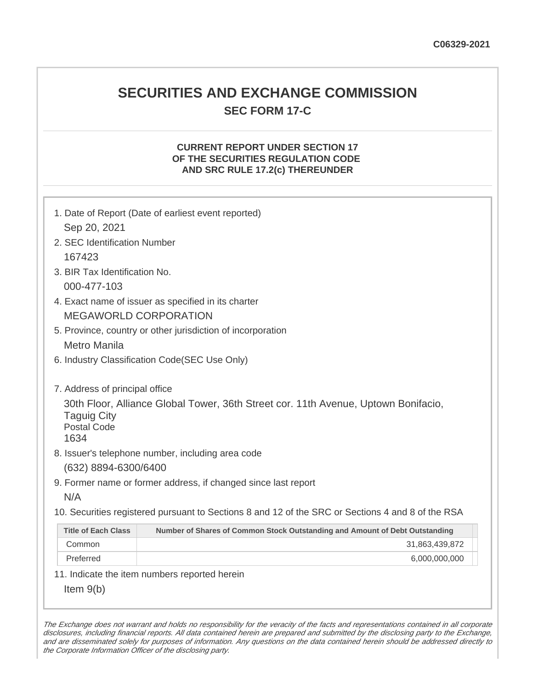# **SECURITIES AND EXCHANGE COMMISSION SEC FORM 17-C**

## **CURRENT REPORT UNDER SECTION 17 OF THE SECURITIES REGULATION CODE AND SRC RULE 17.2(c) THEREUNDER**

| 1. Date of Report (Date of earliest event reported)<br>Sep 20, 2021                                                                                                                                                           |                                                                             |
|-------------------------------------------------------------------------------------------------------------------------------------------------------------------------------------------------------------------------------|-----------------------------------------------------------------------------|
| 2. SEC Identification Number                                                                                                                                                                                                  |                                                                             |
| 167423                                                                                                                                                                                                                        |                                                                             |
| 3. BIR Tax Identification No.                                                                                                                                                                                                 |                                                                             |
| 000-477-103                                                                                                                                                                                                                   |                                                                             |
| 4. Exact name of issuer as specified in its charter                                                                                                                                                                           |                                                                             |
| <b>MEGAWORLD CORPORATION</b>                                                                                                                                                                                                  |                                                                             |
| 5. Province, country or other jurisdiction of incorporation                                                                                                                                                                   |                                                                             |
| Metro Manila                                                                                                                                                                                                                  |                                                                             |
| 6. Industry Classification Code(SEC Use Only)                                                                                                                                                                                 |                                                                             |
| 7. Address of principal office<br>30th Floor, Alliance Global Tower, 36th Street cor. 11th Avenue, Uptown Bonifacio,<br><b>Taguig City</b><br><b>Postal Code</b><br>1634<br>8. Issuer's telephone number, including area code |                                                                             |
| (632) 8894-6300/6400                                                                                                                                                                                                          |                                                                             |
| 9. Former name or former address, if changed since last report<br>N/A                                                                                                                                                         |                                                                             |
| 10. Securities registered pursuant to Sections 8 and 12 of the SRC or Sections 4 and 8 of the RSA                                                                                                                             |                                                                             |
| <b>Title of Each Class</b>                                                                                                                                                                                                    | Number of Shares of Common Stock Outstanding and Amount of Debt Outstanding |
| Common                                                                                                                                                                                                                        | 31,863,439,872                                                              |
| Preferred                                                                                                                                                                                                                     | 6,000,000,000                                                               |
|                                                                                                                                                                                                                               | 11. Indicate the item numbers reported herein                               |
| Item $9(b)$                                                                                                                                                                                                                   |                                                                             |

The Exchange does not warrant and holds no responsibility for the veracity of the facts and representations contained in all corporate disclosures, including financial reports. All data contained herein are prepared and submitted by the disclosing party to the Exchange, and are disseminated solely for purposes of information. Any questions on the data contained herein should be addressed directly to the Corporate Information Officer of the disclosing party.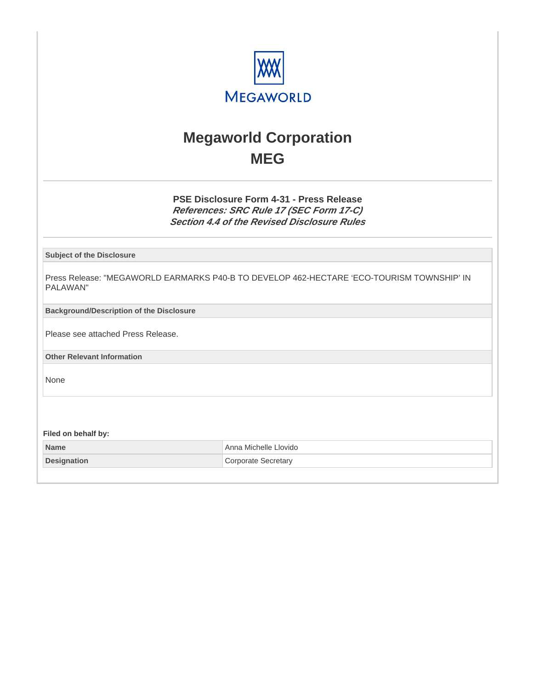

# **Megaworld Corporation MEG**

**PSE Disclosure Form 4-31 - Press Release References: SRC Rule 17 (SEC Form 17-C) Section 4.4 of the Revised Disclosure Rules**

**Subject of the Disclosure**

Press Release: "MEGAWORLD EARMARKS P40-B TO DEVELOP 462-HECTARE 'ECO-TOURISM TOWNSHIP' IN PALAWAN"

**Background/Description of the Disclosure**

Please see attached Press Release.

**Other Relevant Information**

None

**Filed on behalf by:**

**Name Anna Michelle Llovido Anna Michelle Llovido Designation Corporate Secretary**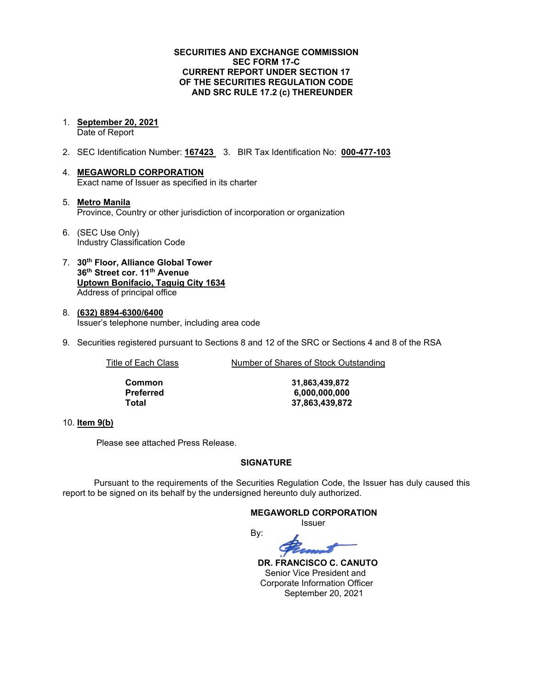#### **SECURITIES AND EXCHANGE COMMISSION SEC FORM 17-C CURRENT REPORT UNDER SECTION 17 OF THE SECURITIES REGULATION CODE AND SRC RULE 17.2 (c) THEREUNDER**

- 1. **September 20, 2021** Date of Report
- 2. SEC Identification Number: **167423** 3. BIR Tax Identification No: **000-477-103**
	- 4. **MEGAWORLD CORPORATION** Exact name of Issuer as specified in its charter
	- 5. **Metro Manila** Province, Country or other jurisdiction of incorporation or organization
	- 6. (SEC Use Only) Industry Classification Code
	- 7. **30th Floor, Alliance Global Tower 36th Street cor. 11th Avenue Uptown Bonifacio, Taguig City 1634** Address of principal office
	- 8. **(632) 8894-6300/6400** Issuer's telephone number, including area code
	- 9. Securities registered pursuant to Sections 8 and 12 of the SRC or Sections 4 and 8 of the RSA

Title of Each Class Number of Shares of Stock Outstanding

**Common 31,863,439,872 Preferred 6,000,000,000 Total 37,863,439,872**

### 10. **Item 9(b)**

Please see attached Press Release.

## **SIGNATURE**

Pursuant to the requirements of the Securities Regulation Code, the Issuer has duly caused this report to be signed on its behalf by the undersigned hereunto duly authorized.

By:

**MEGAWORLD CORPORATION**

Issuer



 **DR. FRANCISCO C. CANUTO** Senior Vice President and Corporate Information Officer September 20, 2021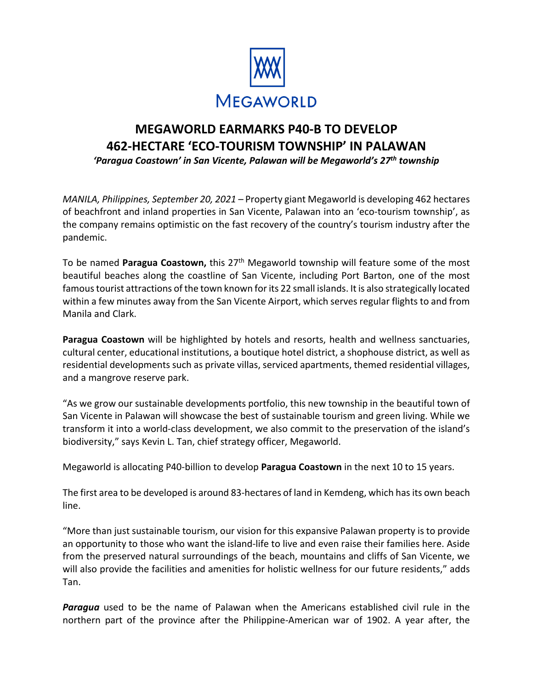

# **MEGAWORLD EARMARKS P40-B TO DEVELOP 462-HECTARE 'ECO-TOURISM TOWNSHIP' IN PALAWAN**

*'Paragua Coastown' in San Vicente, Palawan will be Megaworld's 27th township* 

*MANILA, Philippines, September 20, 2021 –* Property giant Megaworld is developing 462 hectares of beachfront and inland properties in San Vicente, Palawan into an 'eco-tourism township', as the company remains optimistic on the fast recovery of the country's tourism industry after the pandemic.

To be named **Paragua Coastown,** this 27th Megaworld township will feature some of the most beautiful beaches along the coastline of San Vicente, including Port Barton, one of the most famous tourist attractions of the town known for its 22 small islands. It is also strategically located within a few minutes away from the San Vicente Airport, which serves regular flights to and from Manila and Clark.

**Paragua Coastown** will be highlighted by hotels and resorts, health and wellness sanctuaries, cultural center, educational institutions, a boutique hotel district, a shophouse district, as well as residential developments such as private villas, serviced apartments, themed residential villages, and a mangrove reserve park.

"As we grow our sustainable developments portfolio, this new township in the beautiful town of San Vicente in Palawan will showcase the best of sustainable tourism and green living. While we transform it into a world-class development, we also commit to the preservation of the island's biodiversity," says Kevin L. Tan, chief strategy officer, Megaworld.

Megaworld is allocating P40-billion to develop **Paragua Coastown** in the next 10 to 15 years.

The first area to be developed is around 83-hectares of land in Kemdeng, which has its own beach line.

"More than just sustainable tourism, our vision for this expansive Palawan property is to provide an opportunity to those who want the island-life to live and even raise their families here. Aside from the preserved natural surroundings of the beach, mountains and cliffs of San Vicente, we will also provide the facilities and amenities for holistic wellness for our future residents," adds Tan.

*Paragua* used to be the name of Palawan when the Americans established civil rule in the northern part of the province after the Philippine-American war of 1902. A year after, the